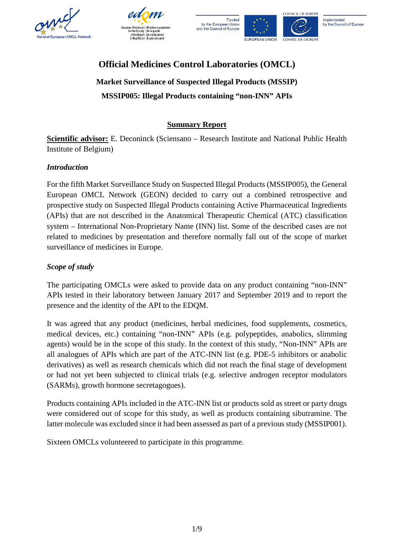







# **Official Medicines Control Laboratories (OMCL)**

**Market Surveillance of Suspected Illegal Products (MSSIP) MSSIP005: Illegal Products containing "non-INN" APIs**

# **Summary Report**

**Scientific advisor:** E. Deconinck (Sciensano – Research Institute and National Public Health Institute of Belgium)

# *Introduction*

For the fifth Market Surveillance Study on Suspected Illegal Products (MSSIP005), the General European OMCL Network (GEON) decided to carry out a combined retrospective and prospective study on Suspected Illegal Products containing Active Pharmaceutical Ingredients (APIs) that are not described in the Anatomical Therapeutic Chemical (ATC) classification system – International Non-Proprietary Name (INN) list. Some of the described cases are not related to medicines by presentation and therefore normally fall out of the scope of market surveillance of medicines in Europe.

# *Scope of study*

The participating OMCLs were asked to provide data on any product containing "non-INN" APIs tested in their laboratory between January 2017 and September 2019 and to report the presence and the identity of the API to the EDQM.

It was agreed that any product (medicines, herbal medicines, food supplements, cosmetics, medical devices, etc.) containing "non-INN" APIs (e.g. polypeptides, anabolics, slimming agents) would be in the scope of this study. In the context of this study, "Non-INN" APIs are all analogues of APIs which are part of the ATC-INN list (e.g. PDE-5 inhibitors or anabolic derivatives) as well as research chemicals which did not reach the final stage of development or had not yet been subjected to clinical trials (e.g. selective androgen receptor modulators (SARMs), growth hormone secretagogues).

Products containing APIs included in the ATC-INN list or products sold as street or party drugs were considered out of scope for this study, as well as products containing sibutramine. The latter molecule was excluded since it had been assessed as part of a previous study (MSSIP001).

Sixteen OMCLs volunteered to participate in this programme.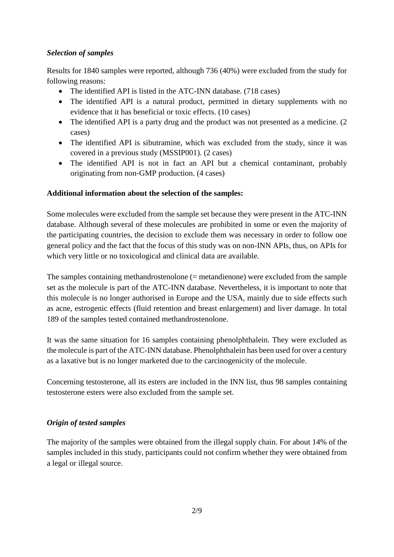### *Selection of samples*

Results for 1840 samples were reported, although 736 (40%) were excluded from the study for following reasons:

- The identified API is listed in the ATC-INN database. (718 cases)
- The identified API is a natural product, permitted in dietary supplements with no evidence that it has beneficial or toxic effects. (10 cases)
- The identified API is a party drug and the product was not presented as a medicine. (2) cases)
- The identified API is sibutramine, which was excluded from the study, since it was covered in a previous study (MSSIP001). (2 cases)
- The identified API is not in fact an API but a chemical contaminant, probably originating from non-GMP production. (4 cases)

# **Additional information about the selection of the samples:**

Some molecules were excluded from the sample set because they were present in the ATC-INN database. Although several of these molecules are prohibited in some or even the majority of the participating countries, the decision to exclude them was necessary in order to follow one general policy and the fact that the focus of this study was on non-INN APIs, thus, on APIs for which very little or no toxicological and clinical data are available.

The samples containing methandrostenolone (= metandienone) were excluded from the sample set as the molecule is part of the ATC-INN database. Nevertheless, it is important to note that this molecule is no longer authorised in Europe and the USA, mainly due to side effects such as acne, estrogenic effects (fluid retention and breast enlargement) and liver damage. In total 189 of the samples tested contained methandrostenolone.

It was the same situation for 16 samples containing phenolphthalein. They were excluded as the molecule is part of the ATC-INN database. Phenolphthalein has been used for over a century as a laxative but is no longer marketed due to the carcinogenicity of the molecule.

Concerning testosterone, all its esters are included in the INN list, thus 98 samples containing testosterone esters were also excluded from the sample set.

# *Origin of tested samples*

The majority of the samples were obtained from the illegal supply chain. For about 14% of the samples included in this study, participants could not confirm whether they were obtained from a legal or illegal source.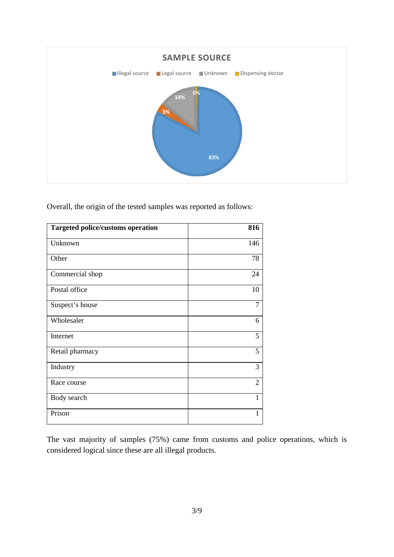

Overall, the origin of the tested samples was reported as follows:

| <b>Targeted police/customs operation</b> | 816            |
|------------------------------------------|----------------|
| Unknown                                  | 146            |
| Other                                    | 78             |
| Commercial shop                          | 24             |
| Postal office                            | 10             |
| Suspect's house                          | 7              |
| Wholesaler                               | 6              |
| Internet                                 | 5              |
| Retail pharmacy                          | 5              |
| Industry                                 | 3              |
| Race course                              | $\overline{2}$ |
| Body search                              | 1              |
| Prison                                   | 1              |

The vast majority of samples (75%) came from customs and police operations, which is considered logical since these are all illegal products.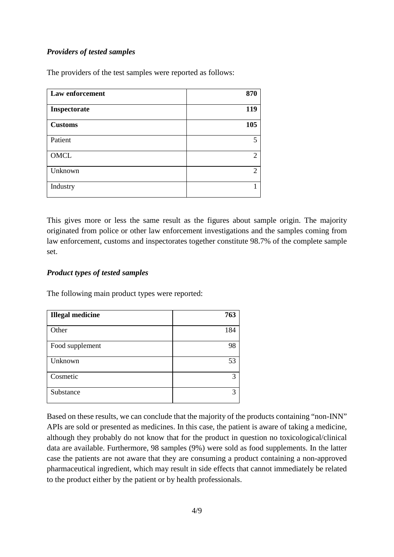### *Providers of tested samples*

The providers of the test samples were reported as follows:

| Law enforcement | 870            |
|-----------------|----------------|
| Inspectorate    | 119            |
| <b>Customs</b>  | 105            |
| Patient         | 5              |
| <b>OMCL</b>     | $\overline{2}$ |
| Unknown         | $\overline{2}$ |
| Industry        |                |

This gives more or less the same result as the figures about sample origin. The majority originated from police or other law enforcement investigations and the samples coming from law enforcement, customs and inspectorates together constitute 98.7% of the complete sample set.

### *Product types of tested samples*

The following main product types were reported:

| <b>Illegal medicine</b> | 763 |
|-------------------------|-----|
| Other                   | 184 |
| Food supplement         | 98  |
| Unknown                 | 53  |
| Cosmetic                | 3   |
| Substance               | 3   |

Based on these results, we can conclude that the majority of the products containing "non-INN" APIs are sold or presented as medicines. In this case, the patient is aware of taking a medicine, although they probably do not know that for the product in question no toxicological/clinical data are available. Furthermore, 98 samples (9%) were sold as food supplements. In the latter case the patients are not aware that they are consuming a product containing a non-approved pharmaceutical ingredient, which may result in side effects that cannot immediately be related to the product either by the patient or by health professionals.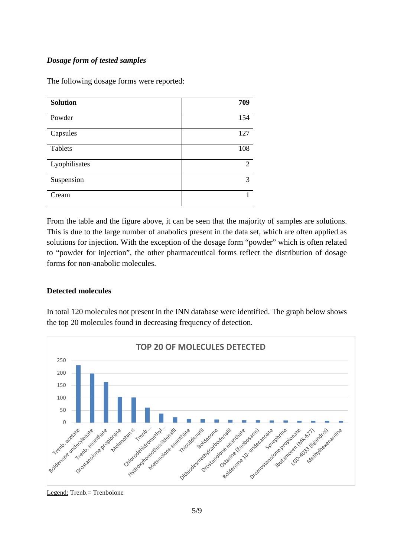# *Dosage form of tested samples*

The following dosage forms were reported:

| <b>Solution</b> | 709            |
|-----------------|----------------|
| Powder          | 154            |
| Capsules        | 127            |
| Tablets         | 108            |
| Lyophilisates   | $\overline{2}$ |
| Suspension      | 3              |
| Cream           |                |

From the table and the figure above, it can be seen that the majority of samples are solutions. This is due to the large number of anabolics present in the data set, which are often applied as solutions for injection. With the exception of the dosage form "powder" which is often related to "powder for injection", the other pharmaceutical forms reflect the distribution of dosage forms for non-anabolic molecules.

### **Detected molecules**

In total 120 molecules not present in the INN database were identified. The graph below shows the top 20 molecules found in decreasing frequency of detection.



#### Legend: Trenb.= Trenbolone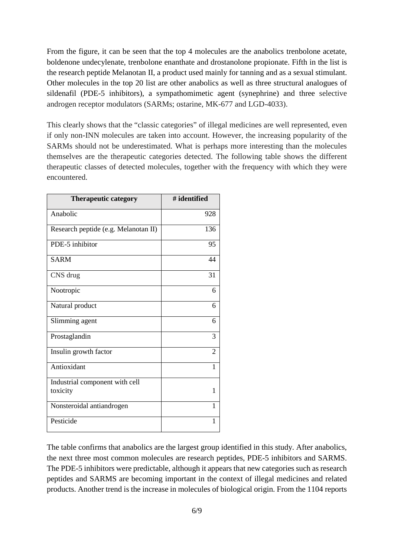From the figure, it can be seen that the top 4 molecules are the anabolics trenbolone acetate, boldenone undecylenate, trenbolone enanthate and drostanolone propionate. Fifth in the list is the research peptide Melanotan II, a product used mainly for tanning and as a sexual stimulant. Other molecules in the top 20 list are other anabolics as well as three structural analogues of sildenafil (PDE-5 inhibitors), a sympathomimetic agent (synephrine) and three selective androgen receptor modulators (SARMs; ostarine, MK-677 and LGD-4033).

This clearly shows that the "classic categories" of illegal medicines are well represented, even if only non-INN molecules are taken into account. However, the increasing popularity of the SARMs should not be underestimated. What is perhaps more interesting than the molecules themselves are the therapeutic categories detected. The following table shows the different therapeutic classes of detected molecules, together with the frequency with which they were encountered.

| <b>Therapeutic category</b>          | # identified |
|--------------------------------------|--------------|
| Anabolic                             | 928          |
| Research peptide (e.g. Melanotan II) | 136          |
| PDE-5 inhibitor                      | 95           |
| <b>SARM</b>                          | 44           |
| CNS drug                             | 31           |
| Nootropic                            | 6            |
| Natural product                      | 6            |
| Slimming agent                       | 6            |
| Prostaglandin                        | 3            |
| Insulin growth factor                | 2            |
| Antioxidant                          | 1            |
| Industrial component with cell       |              |
| toxicity                             | 1            |
| Nonsteroidal antiandrogen            | 1            |
| Pesticide                            | 1            |

The table confirms that anabolics are the largest group identified in this study. After anabolics, the next three most common molecules are research peptides, PDE-5 inhibitors and SARMS. The PDE-5 inhibitors were predictable, although it appears that new categories such as research peptides and SARMS are becoming important in the context of illegal medicines and related products. Another trend is the increase in molecules of biological origin. From the 1104 reports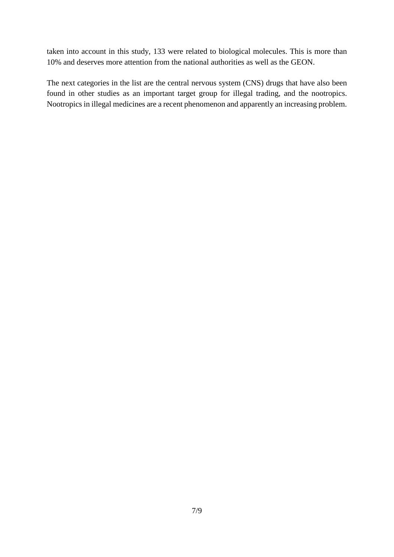taken into account in this study, 133 were related to biological molecules. This is more than 10% and deserves more attention from the national authorities as well as the GEON.

The next categories in the list are the central nervous system (CNS) drugs that have also been found in other studies as an important target group for illegal trading, and the nootropics. Nootropics in illegal medicines are a recent phenomenon and apparently an increasing problem.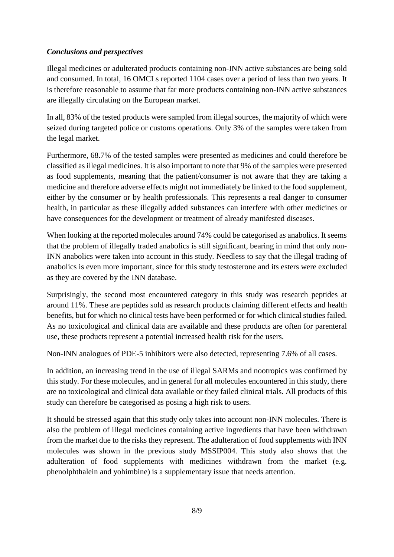### *Conclusions and perspectives*

Illegal medicines or adulterated products containing non-INN active substances are being sold and consumed. In total, 16 OMCLs reported 1104 cases over a period of less than two years. It is therefore reasonable to assume that far more products containing non-INN active substances are illegally circulating on the European market.

In all, 83% of the tested products were sampled from illegal sources, the majority of which were seized during targeted police or customs operations. Only 3% of the samples were taken from the legal market.

Furthermore, 68.7% of the tested samples were presented as medicines and could therefore be classified as illegal medicines. It is also important to note that 9% of the samples were presented as food supplements, meaning that the patient/consumer is not aware that they are taking a medicine and therefore adverse effects might not immediately be linked to the food supplement, either by the consumer or by health professionals. This represents a real danger to consumer health, in particular as these illegally added substances can interfere with other medicines or have consequences for the development or treatment of already manifested diseases.

When looking at the reported molecules around 74% could be categorised as anabolics. It seems that the problem of illegally traded anabolics is still significant, bearing in mind that only non-INN anabolics were taken into account in this study. Needless to say that the illegal trading of anabolics is even more important, since for this study testosterone and its esters were excluded as they are covered by the INN database.

Surprisingly, the second most encountered category in this study was research peptides at around 11%. These are peptides sold as research products claiming different effects and health benefits, but for which no clinical tests have been performed or for which clinical studies failed. As no toxicological and clinical data are available and these products are often for parenteral use, these products represent a potential increased health risk for the users.

Non-INN analogues of PDE-5 inhibitors were also detected, representing 7.6% of all cases.

In addition, an increasing trend in the use of illegal SARMs and nootropics was confirmed by this study. For these molecules, and in general for all molecules encountered in this study, there are no toxicological and clinical data available or they failed clinical trials. All products of this study can therefore be categorised as posing a high risk to users.

It should be stressed again that this study only takes into account non-INN molecules. There is also the problem of illegal medicines containing active ingredients that have been withdrawn from the market due to the risks they represent. The adulteration of food supplements with INN molecules was shown in the previous study MSSIP004. This study also shows that the adulteration of food supplements with medicines withdrawn from the market (e.g. phenolphthalein and yohimbine) is a supplementary issue that needs attention.